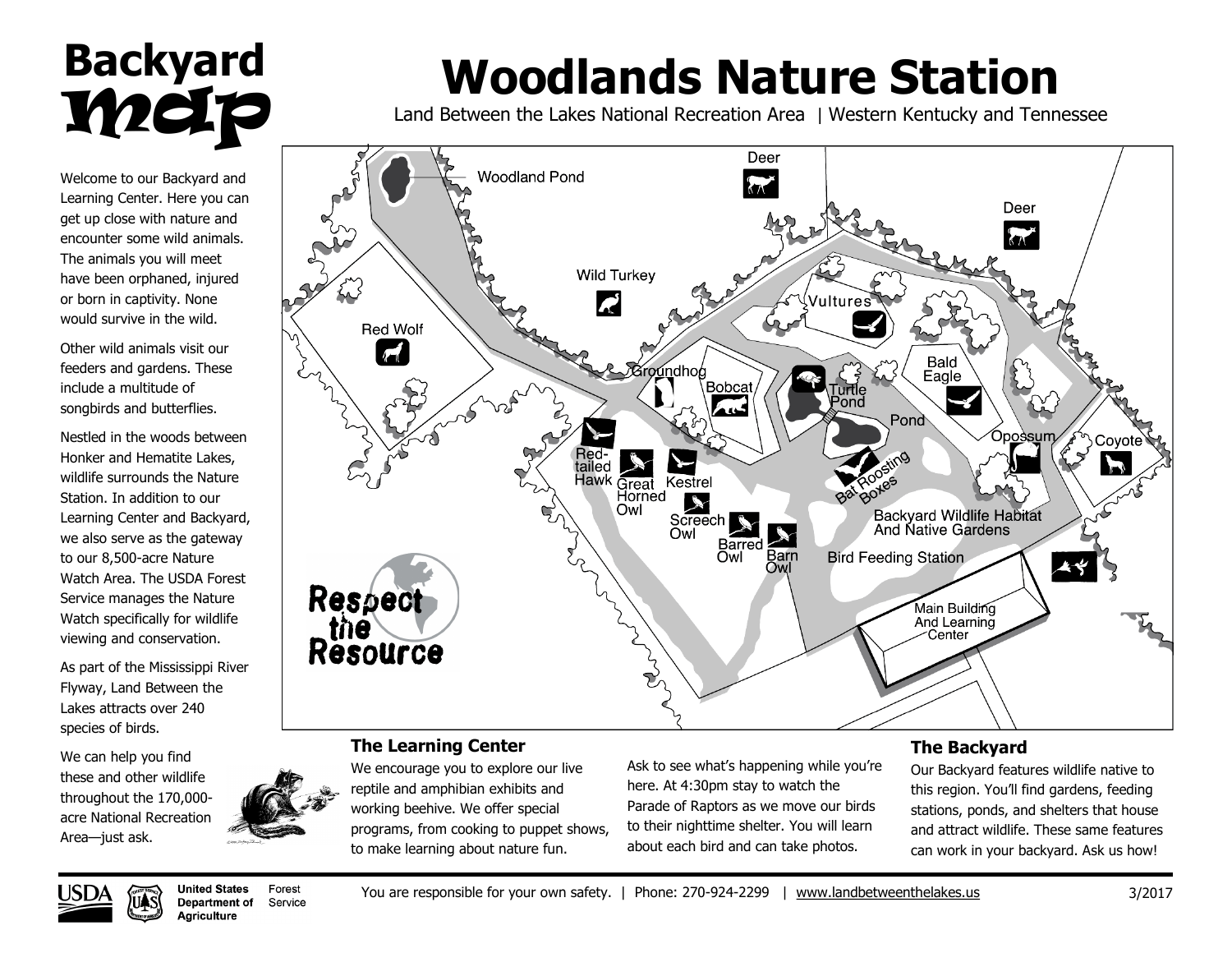## **Backyard** metp

Welcome to our Backyard and Learning Center. Here you can get up close with nature and encounter some wild animals. The animals you will meet have been orphaned, injured or born in captivity. None would survive in the wild.

Other wild animals visit our feeders and gardens. These include a multitude of songbirds and butterflies.

Nestled in the woods between Honker and Hematite Lakes, wildlife surrounds the Nature Station. In addition to our Learning Center and Backyard, we also serve as the gateway to our 8,500-acre Nature Watch Area. The USDA Forest Service manages the Nature Watch specifically for wildlife viewing and conservation.

As part of the Mississippi River Flyway, Land Between the Lakes attracts over 240 species of birds.

We can help you find these and other wildlife throughout the 170,000 acre National Recreation Area—just ask.



# **Woodlands Nature Station**

Land Between the Lakes National Recreation Area | Western Kentucky and Tennessee



#### **The Learning Center**

We encourage you to explore our live reptile and amphibian exhibits and working beehive. We offer special programs, from cooking to puppet shows, to make learning about nature fun.

Ask to see what's happening while you're here. At 4:30pm stay to watch the Parade of Raptors as we move our birds to their nighttime shelter. You will learn about each bird and can take photos.

#### **The Backyard**

Our Backyard features wildlife native to this region. You'll find gardens, feeding stations, ponds, and shelters that house and attract wildlife. These same features can work in your backyard. Ask us how!



**United States** Forest **Department of** Service **Aariculture**